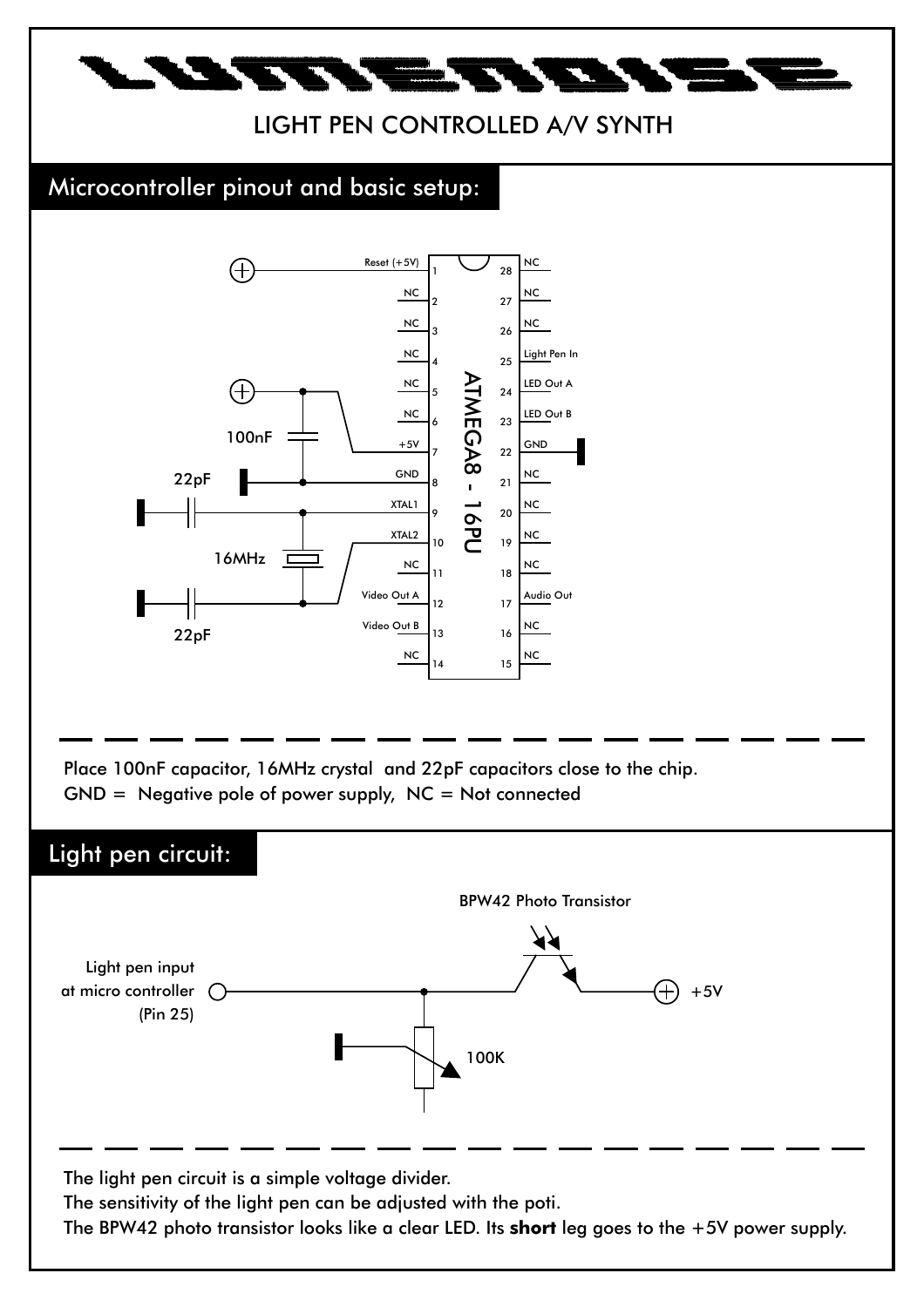

## LIGHT PEN CONTROLLED A/V SYNTH

## Microcontroller pinout and basic setup:



Place 100nF capacitor, 16MHz crystal and 22pF capacitors close to the chip.  $GND = Negative pole of power supply, NC = Not connected$ 

## Light pen circuit:

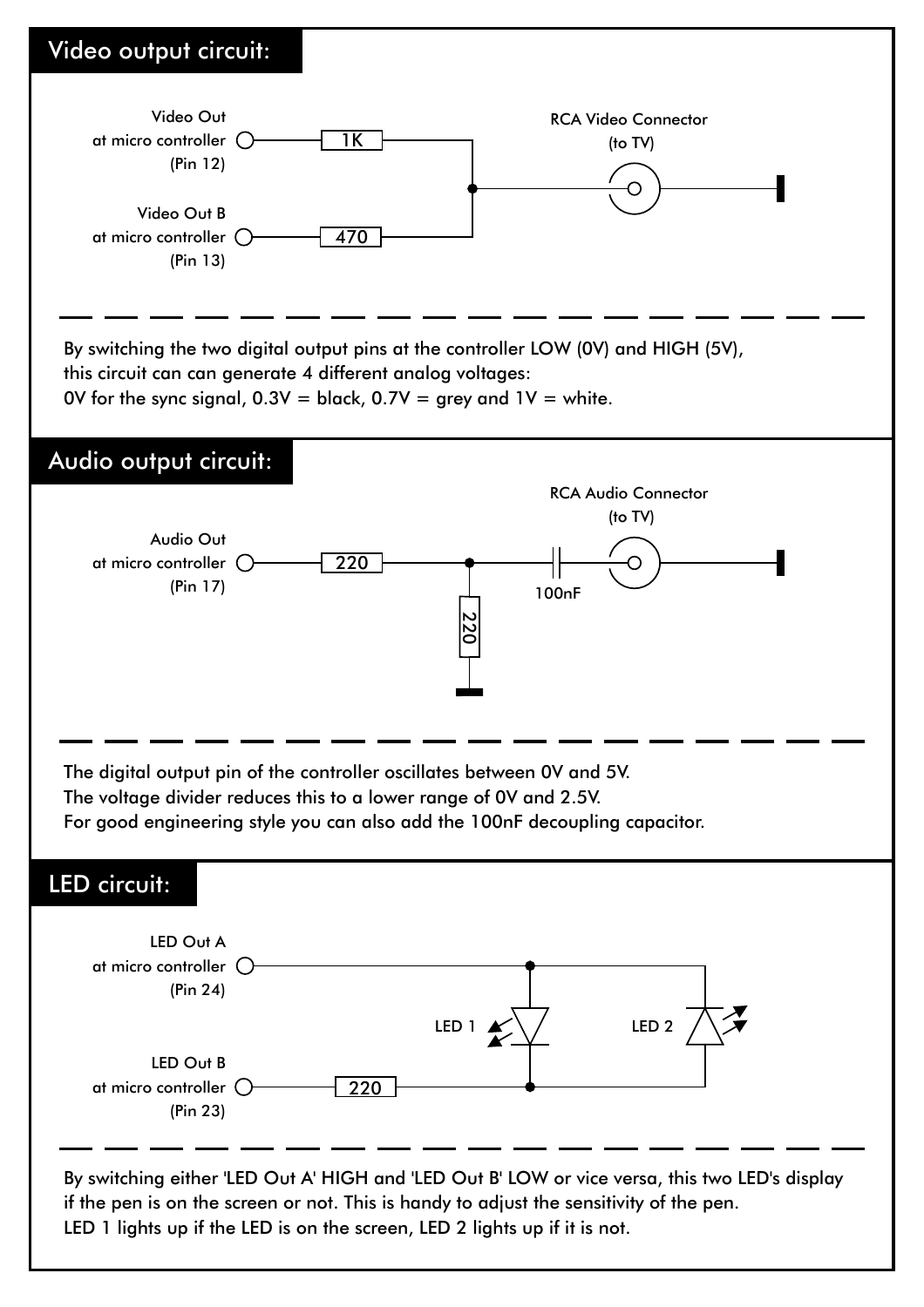

LED 1 lights up if the LED is on the screen, LED 2 lights up if it is not.